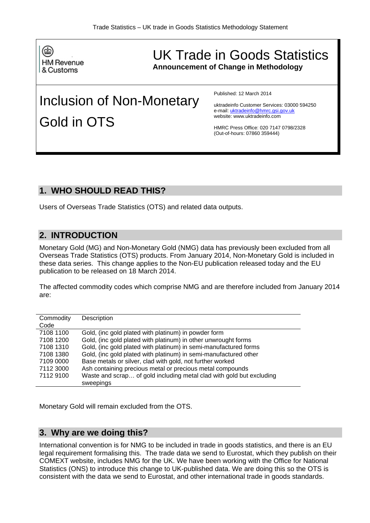

# UK Trade in Goods Statistics **Announcement of Change in Methodology**

# Inclusion of Non-Monetary Gold in OTS

Published: 12 March 2014

uktradeinfo Customer Services: 03000 594250 e-mail: [uktradeinfo@hmrc.gsi.gov.uk](mailto:uktradeinfo@hmrc.gsi.gov.uk) website: www.uktradeinfo.com

HMRC Press Office: 020 7147 0798/2328 (Out-of-hours: 07860 359444)

# **1. WHO SHOULD READ THIS?**

Users of Overseas Trade Statistics (OTS) and related data outputs.

### **2. INTRODUCTION**

Monetary Gold (MG) and Non-Monetary Gold (NMG) data has previously been excluded from all Overseas Trade Statistics (OTS) products. From January 2014, Non-Monetary Gold is included in these data series. This change applies to the Non-EU publication released today and the EU publication to be released on 18 March 2014.

The affected commodity codes which comprise NMG and are therefore included from January 2014 are:

| Commodity<br>Code | Description                                                          |
|-------------------|----------------------------------------------------------------------|
| 7108 1100         | Gold, (inc gold plated with platinum) in powder form                 |
| 7108 1200         | Gold, (inc gold plated with platinum) in other unwrought forms       |
| 7108 1310         | Gold, (inc gold plated with platinum) in semi-manufactured forms     |
| 7108 1380         | Gold, (inc gold plated with platinum) in semi-manufactured other     |
| 7109 0000         | Base metals or silver, clad with gold, not further worked            |
| 7112 3000         | Ash containing precious metal or precious metal compounds            |
| 71129100          | Waste and scrap of gold including metal clad with gold but excluding |
|                   | sweepings                                                            |

Monetary Gold will remain excluded from the OTS.

#### **3. Why are we doing this?**

International convention is for NMG to be included in trade in goods statistics, and there is an EU legal requirement formalising this. The trade data we send to Eurostat, which they publish on their COMEXT website, includes NMG for the UK. We have been working with the Office for National Statistics (ONS) to introduce this change to UK-published data. We are doing this so the OTS is consistent with the data we send to Eurostat, and other international trade in goods standards.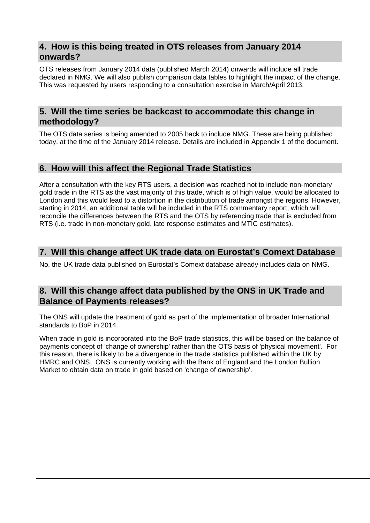#### **4. How is this being treated in OTS releases from January 2014 onwards?**

OTS releases from January 2014 data (published March 2014) onwards will include all trade declared in NMG. We will also publish comparison data tables to highlight the impact of the change. This was requested by users responding to a consultation exercise in March/April 2013.

# **5. Will the time series be backcast to accommodate this change in methodology?**

The OTS data series is being amended to 2005 back to include NMG. These are being published today, at the time of the January 2014 release. Details are included in Appendix 1 of the document.

## **6. How will this affect the Regional Trade Statistics**

After a consultation with the key RTS users, a decision was reached not to include non-monetary gold trade in the RTS as the vast majority of this trade, which is of high value, would be allocated to London and this would lead to a distortion in the distribution of trade amongst the regions. However, starting in 2014, an additional table will be included in the RTS commentary report, which will reconcile the differences between the RTS and the OTS by referencing trade that is excluded from RTS (i.e. trade in non-monetary gold, late response estimates and MTIC estimates).

# **7. Will this change affect UK trade data on Eurostat's Comext Database**

No, the UK trade data published on Eurostat's Comext database already includes data on NMG.

# **8. Will this change affect data published by the ONS in UK Trade and Balance of Payments releases?**

The ONS will update the treatment of gold as part of the implementation of broader International standards to BoP in 2014.

When trade in gold is incorporated into the BoP trade statistics, this will be based on the balance of payments concept of 'change of ownership' rather than the OTS basis of 'physical movement'. For this reason, there is likely to be a divergence in the trade statistics published within the UK by HMRC and ONS. ONS is currently working with the Bank of England and the London Bullion Market to obtain data on trade in gold based on 'change of ownership'.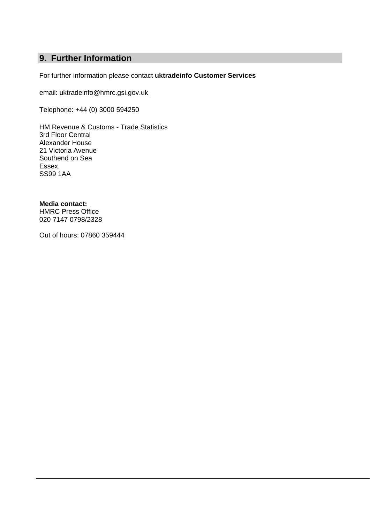# **9. Further Information**

For further information please contact **uktradeinfo Customer Services**

email: [uktradeinfo@hmrc.gsi.gov.uk](mailto:uktradeinfo@hmrc.gsi.gov.uk)

Telephone: +44 (0) 3000 594250

HM Revenue & Customs - Trade Statistics 3rd Floor Central Alexander House 21 Victoria Avenue Southend on Sea Essex. SS99 1AA

#### **Media contact:**

HMRC Press Office 020 7147 0798/2328

Out of hours: 07860 359444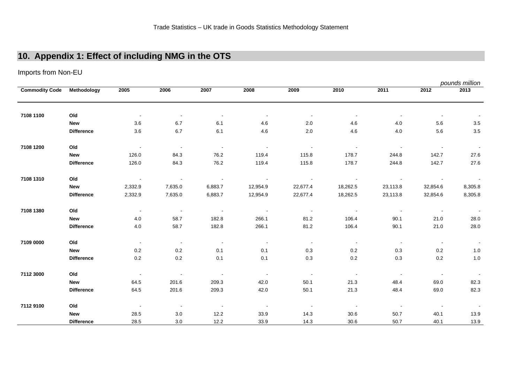#### **10. Appendix 1: Effect of including NMG in the OTS**

#### Imports from Non-EU

|                       |                   |                 |                      |                         |                          |            |                |                  |            | pounds million |
|-----------------------|-------------------|-----------------|----------------------|-------------------------|--------------------------|------------|----------------|------------------|------------|----------------|
| <b>Commodity Code</b> | Methodology       | 2005            | 2006                 | 2007                    | 2008                     | 2009       | 2010           | 2011             | 2012       | 2013           |
| 7108 1100             | Old               | $\sim$          | $\sim$               | $\sim$                  |                          | $\sim$     | $\sim$         | $\sim$           | $\sim$     |                |
|                       | <b>New</b>        | 3.6             | 6.7                  | 6.1                     | 4.6                      | 2.0        | 4.6            | 4.0              | 5.6        | $3.5\,$        |
|                       | <b>Difference</b> | 3.6             | 6.7                  | 6.1                     | 4.6                      | 2.0        | 4.6            | 4.0              | 5.6        | $3.5\,$        |
| 7108 1200             | Old               | $\sim 100$      | $\sim 100$ m $^{-1}$ | $\sim$ $-$              | $\sim$                   | $\sim$     | $\blacksquare$ | $\sim 100$       | $\sim$     |                |
|                       | <b>New</b>        | 126.0           | 84.3                 | 76.2                    | 119.4                    | 115.8      | 178.7          | 244.8            | 142.7      | 27.6           |
|                       | <b>Difference</b> | 126.0           | 84.3                 | 76.2                    | 119.4                    | 115.8      | 178.7          | 244.8            | 142.7      | 27.6           |
| 7108 1310             | Old               | <b>Contract</b> | $\sim$               | $\sim$ $-$              | <b>Contract Contract</b> | $\sim$     | $\sim$         | $\sim 100$       | $\sim$     | $\blacksquare$ |
|                       | <b>New</b>        | 2,332.9         | 7,635.0              | 6,883.7                 | 12,954.9                 | 22,677.4   | 18,262.5       | 23,113.8         | 32,854.6   | 8,305.8        |
|                       | <b>Difference</b> | 2,332.9         | 7,635.0              | 6,883.7                 | 12,954.9                 | 22,677.4   | 18,262.5       | 23,113.8         | 32,854.6   | 8,305.8        |
| 7108 1380             | Old               | $\sim$          | $\sim$ $-$           | $\sim 100$ km s $^{-1}$ |                          | $\sim 100$ | $\sim 100$     | $\sim$           | $\sim$     | $\sim$         |
|                       | <b>New</b>        | 4.0             | 58.7                 | 182.8                   | 266.1                    | 81.2       | 106.4          | 90.1             | 21.0       | 28.0           |
|                       | <b>Difference</b> | 4.0             | 58.7                 | 182.8                   | 266.1                    | 81.2       | 106.4          | 90.1             | 21.0       | 28.0           |
| 7109 0000             | Old               | $\sim$          | $\sim$ $-$           | $\sim$                  | $\sim$ $-$               | $\sim$ $-$ | $\sim$ $\sim$  | $\sim$ $-$       | $\sim$     | $\sim$         |
|                       | <b>New</b>        | 0.2             | 0.2                  | 0.1                     | 0.1                      | 0.3        | 0.2            | 0.3              | 0.2        | 1.0            |
|                       | <b>Difference</b> | 0.2             | 0.2                  | 0.1                     | 0.1                      | 0.3        | 0.2            | 0.3              | $0.2\,$    | 1.0            |
| 7112 3000             | Old               | $\sim$ $-$      | $\sim$               | $\sim$                  | $\sim$ 100 $\pm$         | $\sim$ $-$ | $\sim$         | $\sim$ $-$       | $\sim 100$ | $\sim$         |
|                       | <b>New</b>        | 64.5            | 201.6                | 209.3                   | 42.0                     | 50.1       | 21.3           | 48.4             | 69.0       | 82.3           |
|                       | <b>Difference</b> | 64.5            | 201.6                | 209.3                   | 42.0                     | 50.1       | 21.3           | 48.4             | 69.0       | 82.3           |
| 7112 9100             | Old               | $\sim$          | $\sim$               | $\sim$                  | $\sim 100$               | $\sim$ $-$ | $\sim 100$     | $\sim$ 100 $\pm$ | $\sim 100$ | $\sim$ $-$     |
|                       | <b>New</b>        | 28.5            | 3.0                  | 12.2                    | 33.9                     | 14.3       | 30.6           | 50.7             | 40.1       | 13.9           |
|                       | <b>Difference</b> | 28.5            | 3.0                  | 12.2                    | 33.9                     | 14.3       | 30.6           | 50.7             | 40.1       | 13.9           |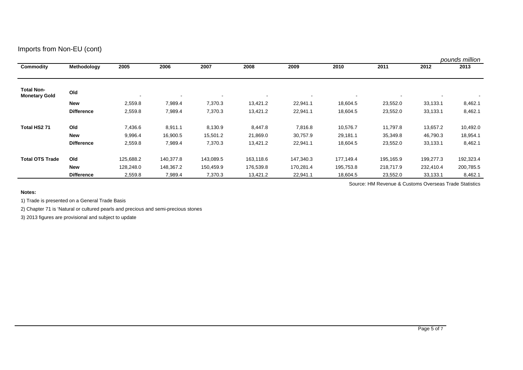#### Imports from Non-EU (cont)

|                                           |                   |           |           |                          |           |           |           |           | pounds million |           |  |
|-------------------------------------------|-------------------|-----------|-----------|--------------------------|-----------|-----------|-----------|-----------|----------------|-----------|--|
| Commodity                                 | Methodology       | 2005      | 2006      | 2007                     | 2008      | 2009      | 2010      | 2011      | 2012           | 2013      |  |
|                                           |                   |           |           |                          |           |           |           |           |                |           |  |
| <b>Total Non-</b><br><b>Monetary Gold</b> | Old               |           |           | $\overline{\phantom{a}}$ |           |           |           |           |                |           |  |
|                                           | <b>New</b>        | 2,559.8   | 7,989.4   | 7,370.3                  | 13,421.2  | 22,941.1  | 18,604.5  | 23,552.0  | 33,133.1       | 8,462.1   |  |
|                                           | <b>Difference</b> | 2,559.8   | 7,989.4   | 7,370.3                  | 13,421.2  | 22,941.1  | 18,604.5  | 23,552.0  | 33,133.1       | 8,462.1   |  |
| Total HS2 71                              | Old               | 7,436.6   | 8,911.1   | 8,130.9                  | 8,447.8   | 7,816.8   | 10,576.7  | 11,797.8  | 13,657.2       | 10,492.0  |  |
|                                           | <b>New</b>        | 9,996.4   | 16,900.5  | 15,501.2                 | 21,869.0  | 30,757.9  | 29,181.1  | 35,349.8  | 46,790.3       | 18,954.1  |  |
|                                           | <b>Difference</b> | 2,559.8   | 7,989.4   | 7,370.3                  | 13,421.2  | 22,941.1  | 18,604.5  | 23,552.0  | 33,133.1       | 8,462.1   |  |
| <b>Total OTS Trade</b>                    | Old               | 125,688.2 | 140,377.8 | 143,089.5                | 163,118.6 | 147,340.3 | 177,149.4 | 195,165.9 | 199,277.3      | 192,323.4 |  |
|                                           | <b>New</b>        | 128,248.0 | 148,367.2 | 150,459.9                | 176,539.8 | 170,281.4 | 195,753.8 | 218,717.9 | 232,410.4      | 200,785.5 |  |
|                                           | <b>Difference</b> | 2,559.8   | 7,989.4   | 7,370.3                  | 13,421.2  | 22,941.1  | 18,604.5  | 23,552.0  | 33,133.1       | 8,462.1   |  |

Source: HM Revenue & Customs Overseas Trade Statistics

1) Trade is presented on a General Trade Basis

**Notes:** 

2) Chapter 71 is 'Natural or cultured pearls and precious and semi-precious stones

3) 2013 figures are provisional and subject to update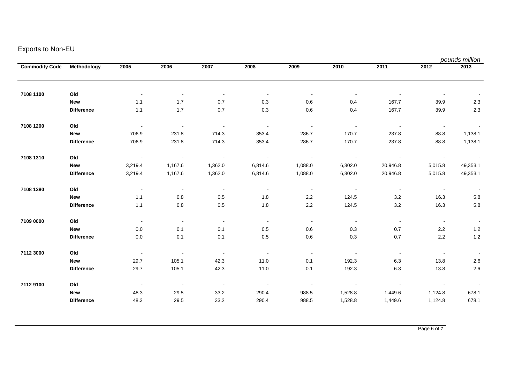# Exports to Non-EU

|                       |                   |                          |                          |                         |                          |                       |                                   |                           | pounds million           |                |
|-----------------------|-------------------|--------------------------|--------------------------|-------------------------|--------------------------|-----------------------|-----------------------------------|---------------------------|--------------------------|----------------|
| <b>Commodity Code</b> | Methodology       | 2005                     | 2006                     | 2007                    | 2008                     | 2009                  | 2010                              | 2011                      | 2012                     | 2013           |
| 7108 1100             | Old               |                          | $\overline{\phantom{a}}$ | $\sim$                  | $\sim$                   | $\blacksquare$        | $\sim$                            |                           | $\overline{\phantom{a}}$ | $\sim$         |
|                       | <b>New</b>        | 1.1                      | 1.7                      | 0.7                     | 0.3                      | 0.6                   | 0.4                               | 167.7                     | 39.9                     | 2.3            |
|                       | <b>Difference</b> | 1.1                      | 1.7                      | 0.7                     | 0.3                      | 0.6                   | 0.4                               | 167.7                     | 39.9                     | $2.3\,$        |
| 7108 1200             | Old               | $\sim$                   | $\sim$                   | $\sim$                  | $\sim$                   | $\sim$                | $\sim$                            | $\sim 100$                | $\sim$ $-$               | $\sim$         |
|                       | <b>New</b>        | 706.9                    | 231.8                    | 714.3                   | 353.4                    | 286.7                 | 170.7                             | 237.8                     | 88.8                     | 1,138.1        |
|                       | <b>Difference</b> | 706.9                    | 231.8                    | 714.3                   | 353.4                    | 286.7                 | 170.7                             | 237.8                     | 88.8                     | 1,138.1        |
| 7108 1310             | Old               | $\sim 10^{11}$ m $^{-1}$ | $\sim$                   | $\sim 100$ km s $^{-1}$ | $\sim 10^{11}$ m $^{-1}$ | $\sim 100$ km $^{-1}$ | $\sim 10^{11}$ and $\sim 10^{11}$ | $\sim 10^{-10}$ m $^{-1}$ |                          |                |
|                       | <b>New</b>        | 3,219.4                  | 1,167.6                  | 1,362.0                 | 6,814.6                  | 1,088.0               | 6,302.0                           | 20,946.8                  | 5,015.8                  | 49,353.1       |
|                       | <b>Difference</b> | 3,219.4                  | 1,167.6                  | 1,362.0                 | 6,814.6                  | 1,088.0               | 6,302.0                           | 20,946.8                  | 5,015.8                  | 49,353.1       |
| 7108 1380             | Old               | $\sim$ $-$               | $\sim$                   | $\sim$                  | $\sim$                   | $\sim$                | $\sim 100$ m $^{-1}$              | $\sim$                    | $\sim$ $-$               |                |
|                       | <b>New</b>        | 1.1                      | 0.8                      | 0.5                     | 1.8                      | 2.2                   | 124.5                             | 3.2                       | 16.3                     | 5.8            |
|                       | <b>Difference</b> | 1.1                      | $0.8\,$                  | 0.5                     | 1.8                      | $2.2\,$               | 124.5                             | $3.2\,$                   | 16.3                     | 5.8            |
| 7109 0000             | Old               | $\sim$                   | $\sim$                   | $\sim$                  | $\sim$                   | $\sim$                | $\sim$                            | $\sim$                    | $\sim$                   | $\blacksquare$ |
|                       | <b>New</b>        | 0.0                      | 0.1                      | 0.1                     | $0.5\,$                  | $0.6\,$               | $0.3\,$                           | 0.7                       | $2.2\,$                  | $1.2$          |
|                       | <b>Difference</b> | 0.0                      | 0.1                      | 0.1                     | 0.5                      | 0.6                   | 0.3                               | 0.7                       | $2.2\,$                  | $1.2$          |
| 7112 3000             | Old               | $\sim$ $-$               | $\blacksquare$           | $\sim$                  | $\sim$                   | $\sim$                | $\blacksquare$                    | $\sim$                    | $\sim$ $-$               | $\sim$         |
|                       | New               | 29.7                     | 105.1                    | 42.3                    | 11.0                     | 0.1                   | 192.3                             | 6.3                       | 13.8                     | 2.6            |
|                       | <b>Difference</b> | 29.7                     | 105.1                    | 42.3                    | 11.0                     | 0.1                   | 192.3                             | 6.3                       | 13.8                     | $2.6\,$        |
| 7112 9100             | Old               | $\sim$ $-$               | $\sim$                   | $\sim 100$              | $\sim 100$               | $\blacksquare$        | $\sim$                            | $\sim$                    | $\sim$                   | $\sim$         |
|                       | <b>New</b>        | 48.3                     | 29.5                     | 33.2                    | 290.4                    | 988.5                 | 1,528.8                           | 1,449.6                   | 1,124.8                  | 678.1          |
|                       | <b>Difference</b> | 48.3                     | 29.5                     | 33.2                    | 290.4                    | 988.5                 | 1,528.8                           | 1,449.6                   | 1,124.8                  | 678.1          |